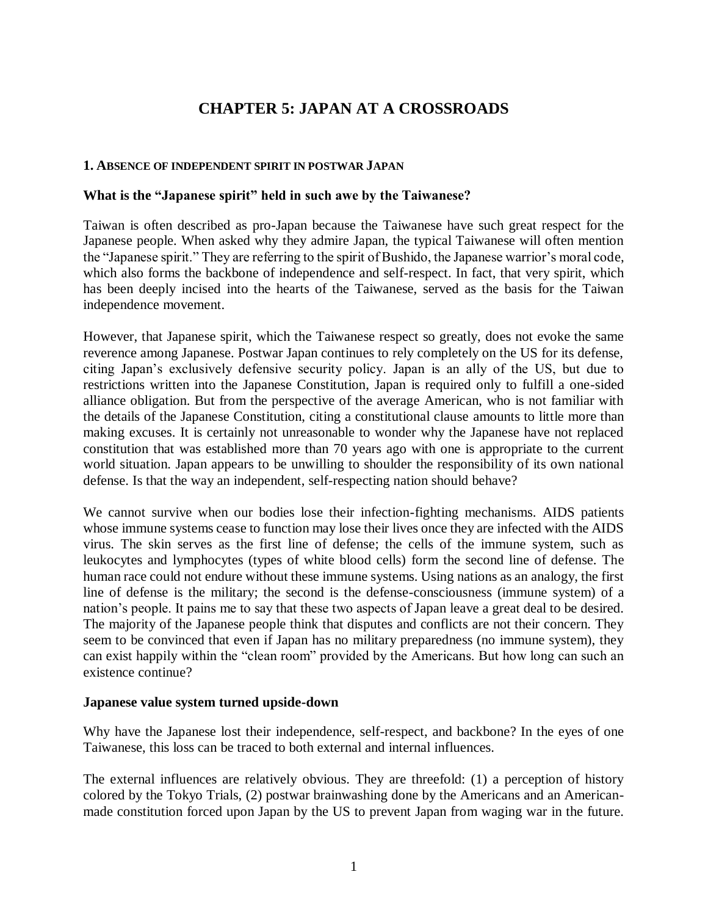# **CHAPTER 5: JAPAN AT A CROSSROADS**

### **1. ABSENCE OF INDEPENDENT SPIRIT IN POSTWAR JAPAN**

### **What is the "Japanese spirit" held in such awe by the Taiwanese?**

Taiwan is often described as pro-Japan because the Taiwanese have such great respect for the Japanese people. When asked why they admire Japan, the typical Taiwanese will often mention the "Japanese spirit." They are referring to the spirit of Bushido, the Japanese warrior's moral code, which also forms the backbone of independence and self-respect. In fact, that very spirit, which has been deeply incised into the hearts of the Taiwanese, served as the basis for the Taiwan independence movement.

However, that Japanese spirit, which the Taiwanese respect so greatly, does not evoke the same reverence among Japanese. Postwar Japan continues to rely completely on the US for its defense, citing Japan's exclusively defensive security policy. Japan is an ally of the US, but due to restrictions written into the Japanese Constitution, Japan is required only to fulfill a one-sided alliance obligation. But from the perspective of the average American, who is not familiar with the details of the Japanese Constitution, citing a constitutional clause amounts to little more than making excuses. It is certainly not unreasonable to wonder why the Japanese have not replaced constitution that was established more than 70 years ago with one is appropriate to the current world situation. Japan appears to be unwilling to shoulder the responsibility of its own national defense. Is that the way an independent, self-respecting nation should behave?

We cannot survive when our bodies lose their infection-fighting mechanisms. AIDS patients whose immune systems cease to function may lose their lives once they are infected with the AIDS virus. The skin serves as the first line of defense; the cells of the immune system, such as leukocytes and lymphocytes (types of white blood cells) form the second line of defense. The human race could not endure without these immune systems. Using nations as an analogy, the first line of defense is the military; the second is the defense-consciousness (immune system) of a nation's people. It pains me to say that these two aspects of Japan leave a great deal to be desired. The majority of the Japanese people think that disputes and conflicts are not their concern. They seem to be convinced that even if Japan has no military preparedness (no immune system), they can exist happily within the "clean room" provided by the Americans. But how long can such an existence continue?

#### **Japanese value system turned upside-down**

Why have the Japanese lost their independence, self-respect, and backbone? In the eyes of one Taiwanese, this loss can be traced to both external and internal influences.

The external influences are relatively obvious. They are threefold: (1) a perception of history colored by the Tokyo Trials, (2) postwar brainwashing done by the Americans and an Americanmade constitution forced upon Japan by the US to prevent Japan from waging war in the future.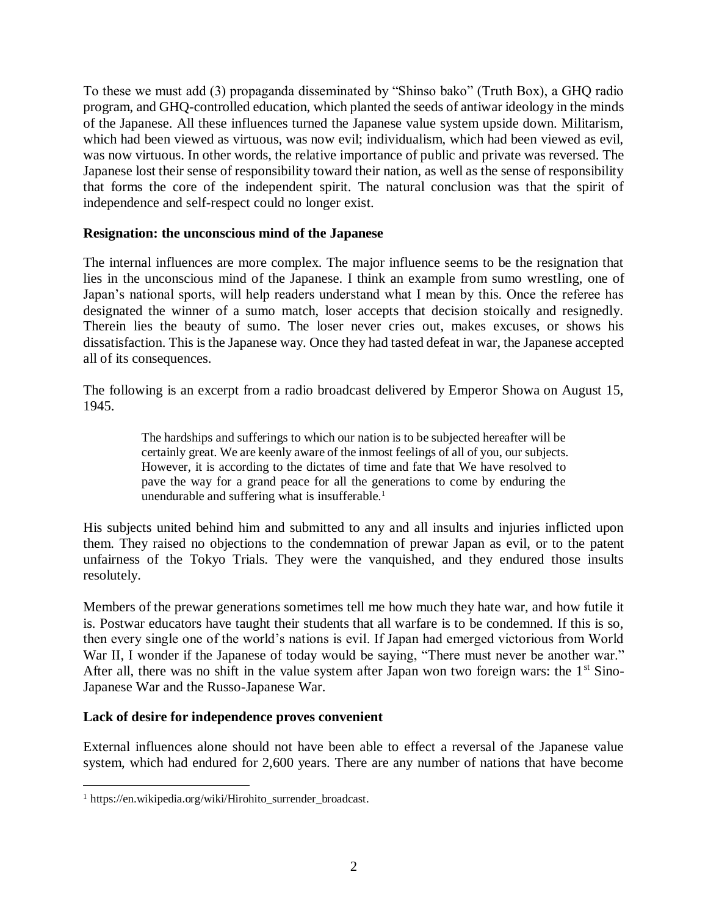To these we must add (3) propaganda disseminated by "Shinso bako" (Truth Box), a GHQ radio program, and GHQ-controlled education, which planted the seeds of antiwar ideology in the minds of the Japanese. All these influences turned the Japanese value system upside down. Militarism, which had been viewed as virtuous, was now evil; individualism, which had been viewed as evil, was now virtuous. In other words, the relative importance of public and private was reversed. The Japanese lost their sense of responsibility toward their nation, as well as the sense of responsibility that forms the core of the independent spirit. The natural conclusion was that the spirit of independence and self-respect could no longer exist.

## **Resignation: the unconscious mind of the Japanese**

The internal influences are more complex. The major influence seems to be the resignation that lies in the unconscious mind of the Japanese. I think an example from sumo wrestling, one of Japan's national sports, will help readers understand what I mean by this. Once the referee has designated the winner of a sumo match, loser accepts that decision stoically and resignedly. Therein lies the beauty of sumo. The loser never cries out, makes excuses, or shows his dissatisfaction. This is the Japanese way. Once they had tasted defeat in war, the Japanese accepted all of its consequences.

The following is an excerpt from a radio broadcast delivered by Emperor Showa on August 15, 1945.

> The hardships and sufferings to which our nation is to be subjected hereafter will be certainly great. We are keenly aware of the inmost feelings of all of you, our subjects. However, it is according to the dictates of time and fate that We have resolved to pave the way for a grand peace for all the generations to come by enduring the unendurable and suffering what is insufferable.<sup>1</sup>

His subjects united behind him and submitted to any and all insults and injuries inflicted upon them. They raised no objections to the condemnation of prewar Japan as evil, or to the patent unfairness of the Tokyo Trials. They were the vanquished, and they endured those insults resolutely.

Members of the prewar generations sometimes tell me how much they hate war, and how futile it is. Postwar educators have taught their students that all warfare is to be condemned. If this is so, then every single one of the world's nations is evil. If Japan had emerged victorious from World War II, I wonder if the Japanese of today would be saying, "There must never be another war." After all, there was no shift in the value system after Japan won two foreign wars: the  $1<sup>st</sup>$  Sino-Japanese War and the Russo-Japanese War.

## **Lack of desire for independence proves convenient**

External influences alone should not have been able to effect a reversal of the Japanese value system, which had endured for 2,600 years. There are any number of nations that have become

 $\overline{a}$ 

<sup>&</sup>lt;sup>1</sup> https://en.wikipedia.org/wiki/Hirohito\_surrender\_broadcast.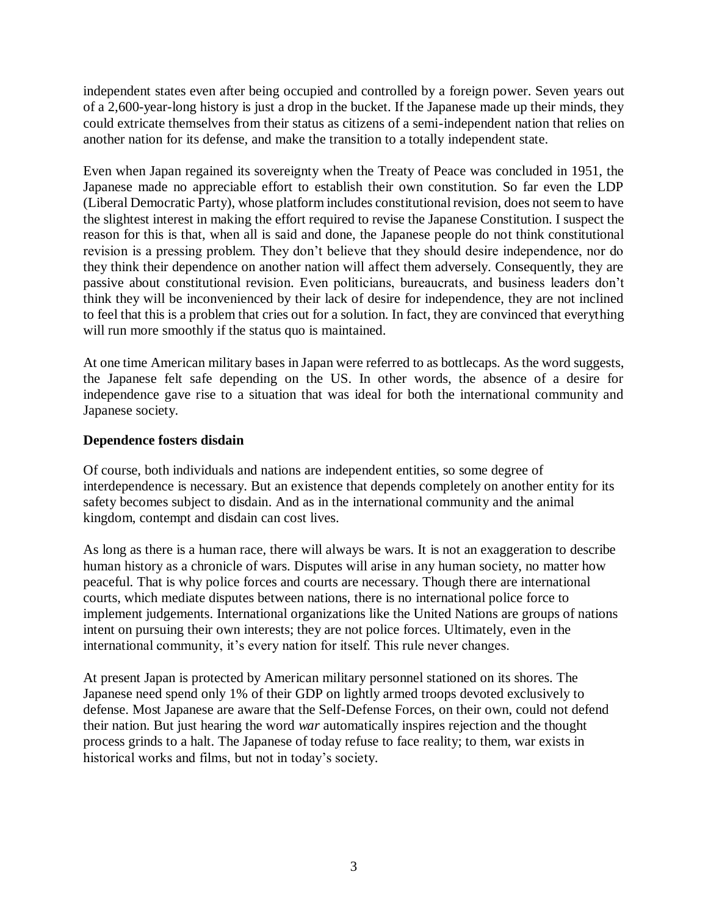independent states even after being occupied and controlled by a foreign power. Seven years out of a 2,600-year-long history is just a drop in the bucket. If the Japanese made up their minds, they could extricate themselves from their status as citizens of a semi-independent nation that relies on another nation for its defense, and make the transition to a totally independent state.

Even when Japan regained its sovereignty when the Treaty of Peace was concluded in 1951, the Japanese made no appreciable effort to establish their own constitution. So far even the LDP (Liberal Democratic Party), whose platform includes constitutional revision, does not seem to have the slightest interest in making the effort required to revise the Japanese Constitution. I suspect the reason for this is that, when all is said and done, the Japanese people do not think constitutional revision is a pressing problem. They don't believe that they should desire independence, nor do they think their dependence on another nation will affect them adversely. Consequently, they are passive about constitutional revision. Even politicians, bureaucrats, and business leaders don't think they will be inconvenienced by their lack of desire for independence, they are not inclined to feel that this is a problem that cries out for a solution. In fact, they are convinced that everything will run more smoothly if the status quo is maintained.

At one time American military bases in Japan were referred to as bottlecaps. As the word suggests, the Japanese felt safe depending on the US. In other words, the absence of a desire for independence gave rise to a situation that was ideal for both the international community and Japanese society.

## **Dependence fosters disdain**

Of course, both individuals and nations are independent entities, so some degree of interdependence is necessary. But an existence that depends completely on another entity for its safety becomes subject to disdain. And as in the international community and the animal kingdom, contempt and disdain can cost lives.

As long as there is a human race, there will always be wars. It is not an exaggeration to describe human history as a chronicle of wars. Disputes will arise in any human society, no matter how peaceful. That is why police forces and courts are necessary. Though there are international courts, which mediate disputes between nations, there is no international police force to implement judgements. International organizations like the United Nations are groups of nations intent on pursuing their own interests; they are not police forces. Ultimately, even in the international community, it's every nation for itself. This rule never changes.

At present Japan is protected by American military personnel stationed on its shores. The Japanese need spend only 1% of their GDP on lightly armed troops devoted exclusively to defense. Most Japanese are aware that the Self-Defense Forces, on their own, could not defend their nation. But just hearing the word *war* automatically inspires rejection and the thought process grinds to a halt. The Japanese of today refuse to face reality; to them, war exists in historical works and films, but not in today's society.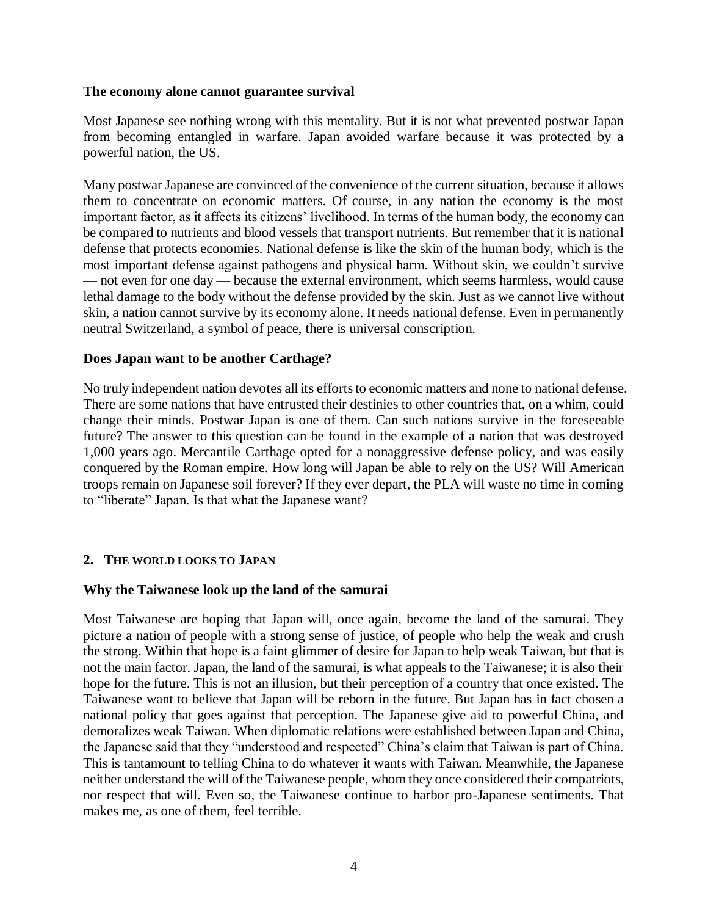### **The economy alone cannot guarantee survival**

Most Japanese see nothing wrong with this mentality. But it is not what prevented postwar Japan from becoming entangled in warfare. Japan avoided warfare because it was protected by a powerful nation, the US.

Many postwar Japanese are convinced of the convenience of the current situation, because it allows them to concentrate on economic matters. Of course, in any nation the economy is the most important factor, as it affects its citizens' livelihood. In terms of the human body, the economy can be compared to nutrients and blood vessels that transport nutrients. But remember that it is national defense that protects economies. National defense is like the skin of the human body, which is the most important defense against pathogens and physical harm. Without skin, we couldn't survive — not even for one day — because the external environment, which seems harmless, would cause lethal damage to the body without the defense provided by the skin. Just as we cannot live without skin, a nation cannot survive by its economy alone. It needs national defense. Even in permanently neutral Switzerland, a symbol of peace, there is universal conscription.

### **Does Japan want to be another Carthage?**

No truly independent nation devotes all its efforts to economic matters and none to national defense. There are some nations that have entrusted their destinies to other countries that, on a whim, could change their minds. Postwar Japan is one of them. Can such nations survive in the foreseeable future? The answer to this question can be found in the example of a nation that was destroyed 1,000 years ago. Mercantile Carthage opted for a nonaggressive defense policy, and was easily conquered by the Roman empire. How long will Japan be able to rely on the US? Will American troops remain on Japanese soil forever? If they ever depart, the PLA will waste no time in coming to "liberate" Japan. Is that what the Japanese want?

## **2. THE WORLD LOOKS TO JAPAN**

## **Why the Taiwanese look up the land of the samurai**

Most Taiwanese are hoping that Japan will, once again, become the land of the samurai. They picture a nation of people with a strong sense of justice, of people who help the weak and crush the strong. Within that hope is a faint glimmer of desire for Japan to help weak Taiwan, but that is not the main factor. Japan, the land of the samurai, is what appeals to the Taiwanese; it is also their hope for the future. This is not an illusion, but their perception of a country that once existed. The Taiwanese want to believe that Japan will be reborn in the future. But Japan has in fact chosen a national policy that goes against that perception. The Japanese give aid to powerful China, and demoralizes weak Taiwan. When diplomatic relations were established between Japan and China, the Japanese said that they "understood and respected" China's claim that Taiwan is part of China. This is tantamount to telling China to do whatever it wants with Taiwan. Meanwhile, the Japanese neither understand the will of the Taiwanese people, whom they once considered their compatriots, nor respect that will. Even so, the Taiwanese continue to harbor pro-Japanese sentiments. That makes me, as one of them, feel terrible.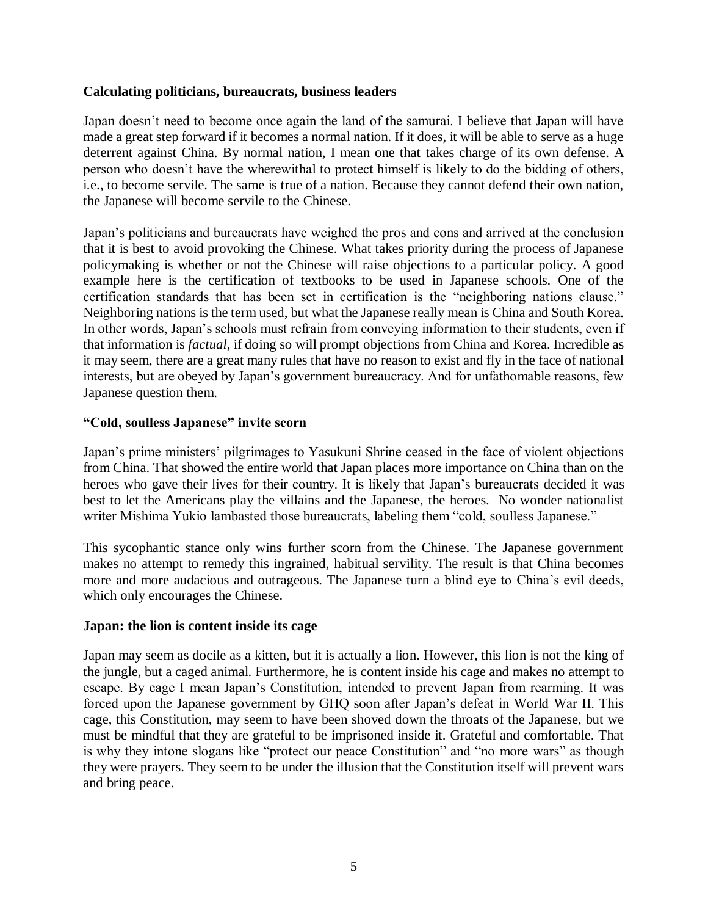## **Calculating politicians, bureaucrats, business leaders**

Japan doesn't need to become once again the land of the samurai. I believe that Japan will have made a great step forward if it becomes a normal nation. If it does, it will be able to serve as a huge deterrent against China. By normal nation, I mean one that takes charge of its own defense. A person who doesn't have the wherewithal to protect himself is likely to do the bidding of others, i.e., to become servile. The same is true of a nation. Because they cannot defend their own nation, the Japanese will become servile to the Chinese.

Japan's politicians and bureaucrats have weighed the pros and cons and arrived at the conclusion that it is best to avoid provoking the Chinese. What takes priority during the process of Japanese policymaking is whether or not the Chinese will raise objections to a particular policy. A good example here is the certification of textbooks to be used in Japanese schools. One of the certification standards that has been set in certification is the "neighboring nations clause." Neighboring nations is the term used, but what the Japanese really mean is China and South Korea. In other words, Japan's schools must refrain from conveying information to their students, even if that information is *factual*, if doing so will prompt objections from China and Korea. Incredible as it may seem, there are a great many rules that have no reason to exist and fly in the face of national interests, but are obeyed by Japan's government bureaucracy. And for unfathomable reasons, few Japanese question them.

## **"Cold, soulless Japanese" invite scorn**

Japan's prime ministers' pilgrimages to Yasukuni Shrine ceased in the face of violent objections from China. That showed the entire world that Japan places more importance on China than on the heroes who gave their lives for their country. It is likely that Japan's bureaucrats decided it was best to let the Americans play the villains and the Japanese, the heroes. No wonder nationalist writer Mishima Yukio lambasted those bureaucrats, labeling them "cold, soulless Japanese."

This sycophantic stance only wins further scorn from the Chinese. The Japanese government makes no attempt to remedy this ingrained, habitual servility. The result is that China becomes more and more audacious and outrageous. The Japanese turn a blind eye to China's evil deeds, which only encourages the Chinese.

## **Japan: the lion is content inside its cage**

Japan may seem as docile as a kitten, but it is actually a lion. However, this lion is not the king of the jungle, but a caged animal. Furthermore, he is content inside his cage and makes no attempt to escape. By cage I mean Japan's Constitution, intended to prevent Japan from rearming. It was forced upon the Japanese government by GHQ soon after Japan's defeat in World War II. This cage, this Constitution, may seem to have been shoved down the throats of the Japanese, but we must be mindful that they are grateful to be imprisoned inside it. Grateful and comfortable. That is why they intone slogans like "protect our peace Constitution" and "no more wars" as though they were prayers. They seem to be under the illusion that the Constitution itself will prevent wars and bring peace.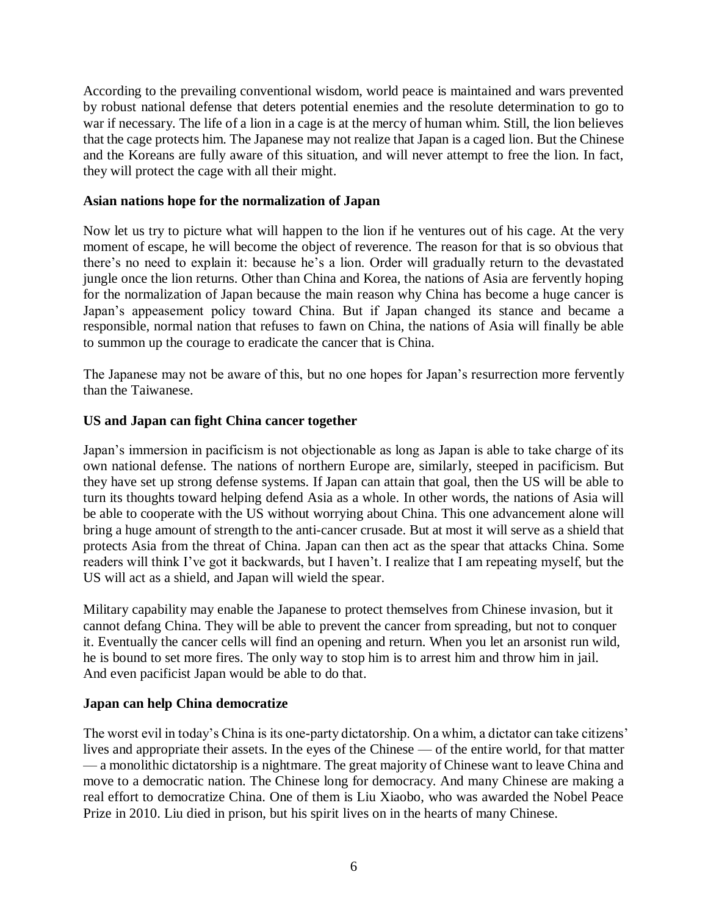According to the prevailing conventional wisdom, world peace is maintained and wars prevented by robust national defense that deters potential enemies and the resolute determination to go to war if necessary. The life of a lion in a cage is at the mercy of human whim. Still, the lion believes that the cage protects him. The Japanese may not realize that Japan is a caged lion. But the Chinese and the Koreans are fully aware of this situation, and will never attempt to free the lion. In fact, they will protect the cage with all their might.

## **Asian nations hope for the normalization of Japan**

Now let us try to picture what will happen to the lion if he ventures out of his cage. At the very moment of escape, he will become the object of reverence. The reason for that is so obvious that there's no need to explain it: because he's a lion. Order will gradually return to the devastated jungle once the lion returns. Other than China and Korea, the nations of Asia are fervently hoping for the normalization of Japan because the main reason why China has become a huge cancer is Japan's appeasement policy toward China. But if Japan changed its stance and became a responsible, normal nation that refuses to fawn on China, the nations of Asia will finally be able to summon up the courage to eradicate the cancer that is China.

The Japanese may not be aware of this, but no one hopes for Japan's resurrection more fervently than the Taiwanese.

### **US and Japan can fight China cancer together**

Japan's immersion in pacificism is not objectionable as long as Japan is able to take charge of its own national defense. The nations of northern Europe are, similarly, steeped in pacificism. But they have set up strong defense systems. If Japan can attain that goal, then the US will be able to turn its thoughts toward helping defend Asia as a whole. In other words, the nations of Asia will be able to cooperate with the US without worrying about China. This one advancement alone will bring a huge amount of strength to the anti-cancer crusade. But at most it will serve as a shield that protects Asia from the threat of China. Japan can then act as the spear that attacks China. Some readers will think I've got it backwards, but I haven't. I realize that I am repeating myself, but the US will act as a shield, and Japan will wield the spear.

Military capability may enable the Japanese to protect themselves from Chinese invasion, but it cannot defang China. They will be able to prevent the cancer from spreading, but not to conquer it. Eventually the cancer cells will find an opening and return. When you let an arsonist run wild, he is bound to set more fires. The only way to stop him is to arrest him and throw him in jail. And even pacificist Japan would be able to do that.

#### **Japan can help China democratize**

The worst evil in today's China is its one-party dictatorship. On a whim, a dictator can take citizens' lives and appropriate their assets. In the eyes of the Chinese — of the entire world, for that matter — a monolithic dictatorship is a nightmare. The great majority of Chinese want to leave China and move to a democratic nation. The Chinese long for democracy. And many Chinese are making a real effort to democratize China. One of them is Liu Xiaobo, who was awarded the Nobel Peace Prize in 2010. Liu died in prison, but his spirit lives on in the hearts of many Chinese.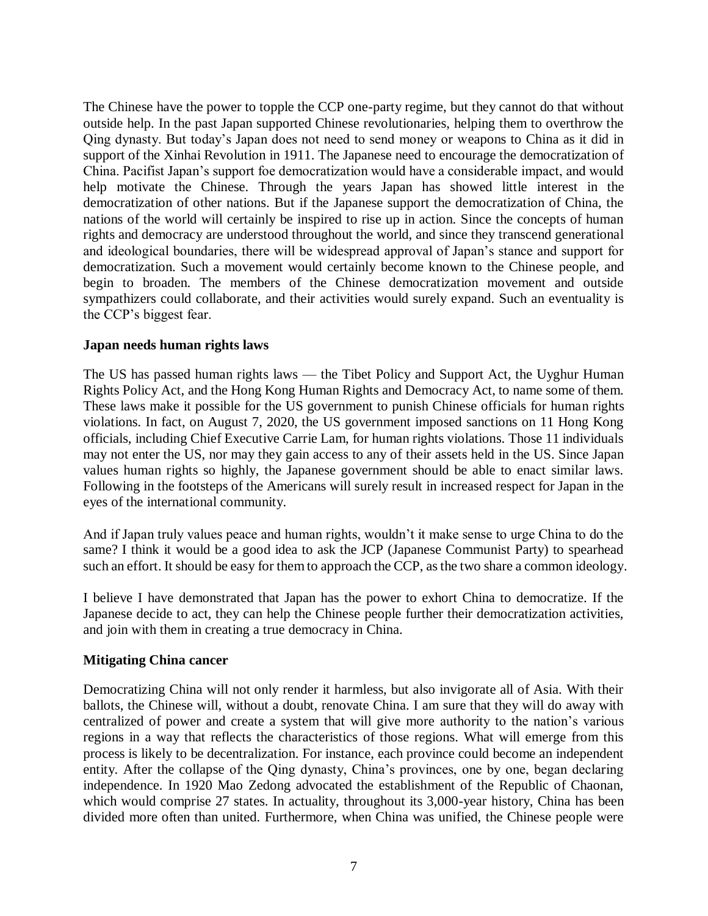The Chinese have the power to topple the CCP one-party regime, but they cannot do that without outside help. In the past Japan supported Chinese revolutionaries, helping them to overthrow the Qing dynasty. But today's Japan does not need to send money or weapons to China as it did in support of the Xinhai Revolution in 1911. The Japanese need to encourage the democratization of China. Pacifist Japan's support foe democratization would have a considerable impact, and would help motivate the Chinese. Through the years Japan has showed little interest in the democratization of other nations. But if the Japanese support the democratization of China, the nations of the world will certainly be inspired to rise up in action. Since the concepts of human rights and democracy are understood throughout the world, and since they transcend generational and ideological boundaries, there will be widespread approval of Japan's stance and support for democratization. Such a movement would certainly become known to the Chinese people, and begin to broaden. The members of the Chinese democratization movement and outside sympathizers could collaborate, and their activities would surely expand. Such an eventuality is the CCP's biggest fear.

## **Japan needs human rights laws**

The US has passed human rights laws — the Tibet Policy and Support Act, the Uyghur Human Rights Policy Act, and the Hong Kong Human Rights and Democracy Act, to name some of them. These laws make it possible for the US government to punish Chinese officials for human rights violations. In fact, on August 7, 2020, the US government imposed sanctions on 11 Hong Kong officials, including Chief Executive Carrie Lam, for human rights violations. Those 11 individuals may not enter the US, nor may they gain access to any of their assets held in the US. Since Japan values human rights so highly, the Japanese government should be able to enact similar laws. Following in the footsteps of the Americans will surely result in increased respect for Japan in the eyes of the international community.

And if Japan truly values peace and human rights, wouldn't it make sense to urge China to do the same? I think it would be a good idea to ask the JCP (Japanese Communist Party) to spearhead such an effort. It should be easy for them to approach the CCP, as the two share a common ideology.

I believe I have demonstrated that Japan has the power to exhort China to democratize. If the Japanese decide to act, they can help the Chinese people further their democratization activities, and join with them in creating a true democracy in China.

## **Mitigating China cancer**

Democratizing China will not only render it harmless, but also invigorate all of Asia. With their ballots, the Chinese will, without a doubt, renovate China. I am sure that they will do away with centralized of power and create a system that will give more authority to the nation's various regions in a way that reflects the characteristics of those regions. What will emerge from this process is likely to be decentralization. For instance, each province could become an independent entity. After the collapse of the Qing dynasty, China's provinces, one by one, began declaring independence. In 1920 Mao Zedong advocated the establishment of the Republic of Chaonan, which would comprise 27 states. In actuality, throughout its 3,000-year history, China has been divided more often than united. Furthermore, when China was unified, the Chinese people were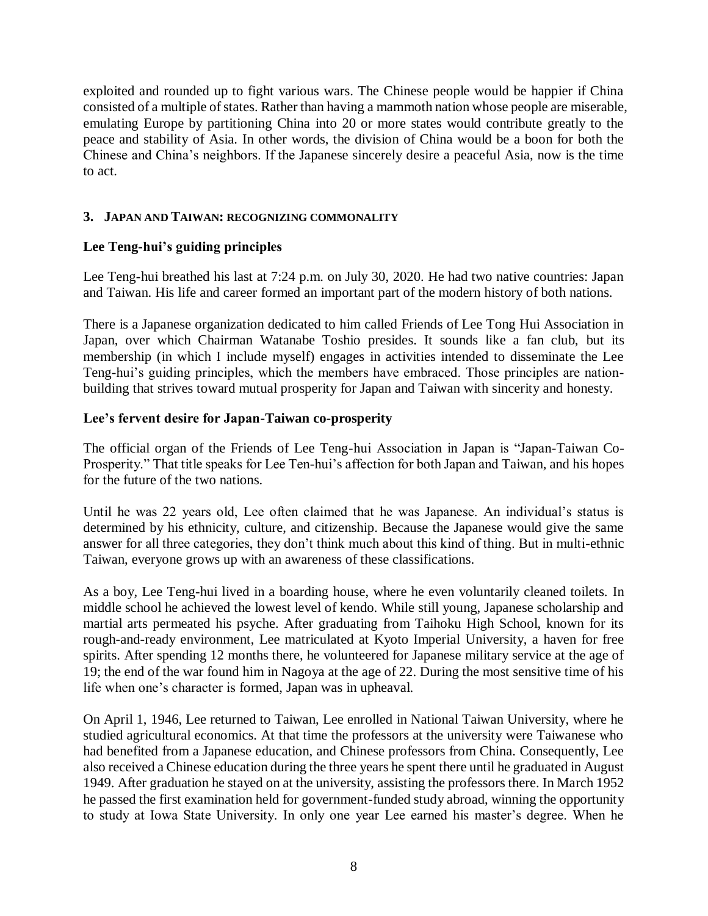exploited and rounded up to fight various wars. The Chinese people would be happier if China consisted of a multiple of states. Rather than having a mammoth nation whose people are miserable, emulating Europe by partitioning China into 20 or more states would contribute greatly to the peace and stability of Asia. In other words, the division of China would be a boon for both the Chinese and China's neighbors. If the Japanese sincerely desire a peaceful Asia, now is the time to act.

## **3. JAPAN AND TAIWAN: RECOGNIZING COMMONALITY**

## **Lee Teng-hui's guiding principles**

Lee Teng-hui breathed his last at 7:24 p.m. on July 30, 2020. He had two native countries: Japan and Taiwan. His life and career formed an important part of the modern history of both nations.

There is a Japanese organization dedicated to him called Friends of Lee Tong Hui Association in Japan, over which Chairman Watanabe Toshio presides. It sounds like a fan club, but its membership (in which I include myself) engages in activities intended to disseminate the Lee Teng-hui's guiding principles, which the members have embraced. Those principles are nationbuilding that strives toward mutual prosperity for Japan and Taiwan with sincerity and honesty.

## **Lee's fervent desire for Japan-Taiwan co-prosperity**

The official organ of the Friends of Lee Teng-hui Association in Japan is "Japan-Taiwan Co-Prosperity." That title speaks for Lee Ten-hui's affection for both Japan and Taiwan, and his hopes for the future of the two nations.

Until he was 22 years old, Lee often claimed that he was Japanese. An individual's status is determined by his ethnicity, culture, and citizenship. Because the Japanese would give the same answer for all three categories, they don't think much about this kind of thing. But in multi-ethnic Taiwan, everyone grows up with an awareness of these classifications.

As a boy, Lee Teng-hui lived in a boarding house, where he even voluntarily cleaned toilets. In middle school he achieved the lowest level of kendo. While still young, Japanese scholarship and martial arts permeated his psyche. After graduating from Taihoku High School, known for its rough-and-ready environment, Lee matriculated at Kyoto Imperial University, a haven for free spirits. After spending 12 months there, he volunteered for Japanese military service at the age of 19; the end of the war found him in Nagoya at the age of 22. During the most sensitive time of his life when one's character is formed, Japan was in upheaval.

On April 1, 1946, Lee returned to Taiwan, Lee enrolled in National Taiwan University, where he studied agricultural economics. At that time the professors at the university were Taiwanese who had benefited from a Japanese education, and Chinese professors from China. Consequently, Lee also received a Chinese education during the three years he spent there until he graduated in August 1949. After graduation he stayed on at the university, assisting the professors there. In March 1952 he passed the first examination held for government-funded study abroad, winning the opportunity to study at Iowa State University. In only one year Lee earned his master's degree. When he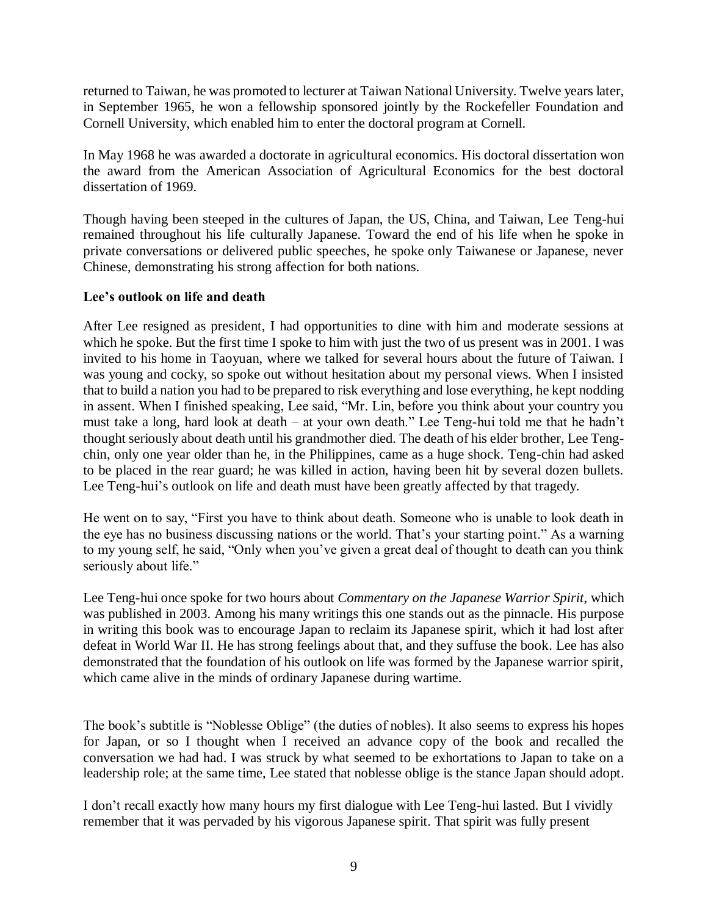returned to Taiwan, he was promoted to lecturer at Taiwan National University. Twelve years later, in September 1965, he won a fellowship sponsored jointly by the Rockefeller Foundation and Cornell University, which enabled him to enter the doctoral program at Cornell.

In May 1968 he was awarded a doctorate in agricultural economics. His doctoral dissertation won the award from the American Association of Agricultural Economics for the best doctoral dissertation of 1969.

Though having been steeped in the cultures of Japan, the US, China, and Taiwan, Lee Teng-hui remained throughout his life culturally Japanese. Toward the end of his life when he spoke in private conversations or delivered public speeches, he spoke only Taiwanese or Japanese, never Chinese, demonstrating his strong affection for both nations.

## **Lee's outlook on life and death**

After Lee resigned as president, I had opportunities to dine with him and moderate sessions at which he spoke. But the first time I spoke to him with just the two of us present was in 2001. I was invited to his home in Taoyuan, where we talked for several hours about the future of Taiwan. I was young and cocky, so spoke out without hesitation about my personal views. When I insisted that to build a nation you had to be prepared to risk everything and lose everything, he kept nodding in assent. When I finished speaking, Lee said, "Mr. Lin, before you think about your country you must take a long, hard look at death – at your own death." Lee Teng-hui told me that he hadn't thought seriously about death until his grandmother died. The death of his elder brother, Lee Tengchin, only one year older than he, in the Philippines, came as a huge shock. Teng-chin had asked to be placed in the rear guard; he was killed in action, having been hit by several dozen bullets. Lee Teng-hui's outlook on life and death must have been greatly affected by that tragedy.

He went on to say, "First you have to think about death. Someone who is unable to look death in the eye has no business discussing nations or the world. That's your starting point." As a warning to my young self, he said, "Only when you've given a great deal of thought to death can you think seriously about life."

Lee Teng-hui once spoke for two hours about *Commentary on the Japanese Warrior Spirit*, which was published in 2003. Among his many writings this one stands out as the pinnacle. His purpose in writing this book was to encourage Japan to reclaim its Japanese spirit, which it had lost after defeat in World War II. He has strong feelings about that, and they suffuse the book. Lee has also demonstrated that the foundation of his outlook on life was formed by the Japanese warrior spirit, which came alive in the minds of ordinary Japanese during wartime.

The book's subtitle is "Noblesse Oblige" (the duties of nobles). It also seems to express his hopes for Japan, or so I thought when I received an advance copy of the book and recalled the conversation we had had. I was struck by what seemed to be exhortations to Japan to take on a leadership role; at the same time, Lee stated that noblesse oblige is the stance Japan should adopt.

I don't recall exactly how many hours my first dialogue with Lee Teng-hui lasted. But I vividly remember that it was pervaded by his vigorous Japanese spirit. That spirit was fully present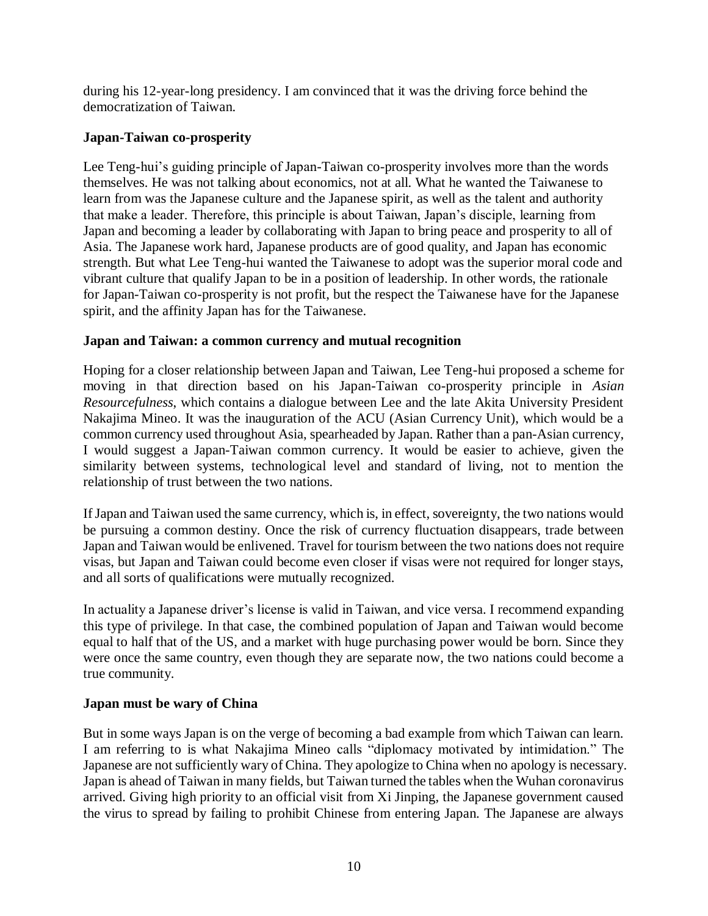during his 12-year-long presidency. I am convinced that it was the driving force behind the democratization of Taiwan.

## **Japan-Taiwan co-prosperity**

Lee Teng-hui's guiding principle of Japan-Taiwan co-prosperity involves more than the words themselves. He was not talking about economics, not at all. What he wanted the Taiwanese to learn from was the Japanese culture and the Japanese spirit, as well as the talent and authority that make a leader. Therefore, this principle is about Taiwan, Japan's disciple, learning from Japan and becoming a leader by collaborating with Japan to bring peace and prosperity to all of Asia. The Japanese work hard, Japanese products are of good quality, and Japan has economic strength. But what Lee Teng-hui wanted the Taiwanese to adopt was the superior moral code and vibrant culture that qualify Japan to be in a position of leadership. In other words, the rationale for Japan-Taiwan co-prosperity is not profit, but the respect the Taiwanese have for the Japanese spirit, and the affinity Japan has for the Taiwanese.

## **Japan and Taiwan: a common currency and mutual recognition**

Hoping for a closer relationship between Japan and Taiwan, Lee Teng-hui proposed a scheme for moving in that direction based on his Japan-Taiwan co-prosperity principle in *Asian Resourcefulness*, which contains a dialogue between Lee and the late Akita University President Nakajima Mineo. It was the inauguration of the ACU (Asian Currency Unit), which would be a common currency used throughout Asia, spearheaded by Japan. Rather than a pan-Asian currency, I would suggest a Japan-Taiwan common currency. It would be easier to achieve, given the similarity between systems, technological level and standard of living, not to mention the relationship of trust between the two nations.

If Japan and Taiwan used the same currency, which is, in effect, sovereignty, the two nations would be pursuing a common destiny. Once the risk of currency fluctuation disappears, trade between Japan and Taiwan would be enlivened. Travel for tourism between the two nations does not require visas, but Japan and Taiwan could become even closer if visas were not required for longer stays, and all sorts of qualifications were mutually recognized.

In actuality a Japanese driver's license is valid in Taiwan, and vice versa. I recommend expanding this type of privilege. In that case, the combined population of Japan and Taiwan would become equal to half that of the US, and a market with huge purchasing power would be born. Since they were once the same country, even though they are separate now, the two nations could become a true community.

## **Japan must be wary of China**

But in some ways Japan is on the verge of becoming a bad example from which Taiwan can learn. I am referring to is what Nakajima Mineo calls "diplomacy motivated by intimidation." The Japanese are not sufficiently wary of China. They apologize to China when no apology is necessary. Japan is ahead of Taiwan in many fields, but Taiwan turned the tables when the Wuhan coronavirus arrived. Giving high priority to an official visit from Xi Jinping, the Japanese government caused the virus to spread by failing to prohibit Chinese from entering Japan. The Japanese are always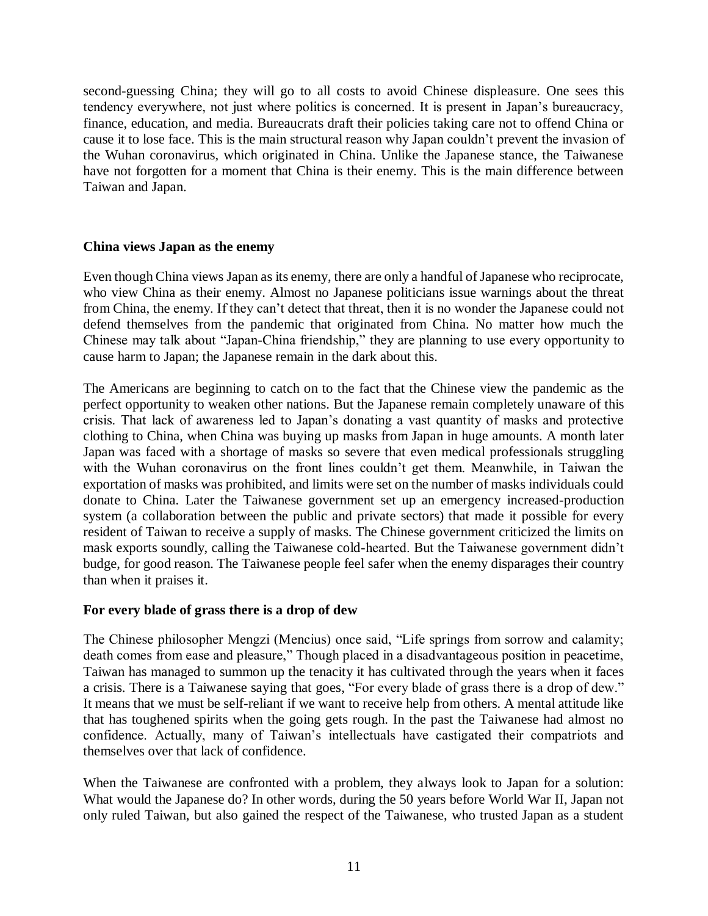second-guessing China; they will go to all costs to avoid Chinese displeasure. One sees this tendency everywhere, not just where politics is concerned. It is present in Japan's bureaucracy, finance, education, and media. Bureaucrats draft their policies taking care not to offend China or cause it to lose face. This is the main structural reason why Japan couldn't prevent the invasion of the Wuhan coronavirus, which originated in China. Unlike the Japanese stance, the Taiwanese have not forgotten for a moment that China is their enemy. This is the main difference between Taiwan and Japan.

## **China views Japan as the enemy**

Even though China views Japan as its enemy, there are only a handful of Japanese who reciprocate, who view China as their enemy. Almost no Japanese politicians issue warnings about the threat from China, the enemy. If they can't detect that threat, then it is no wonder the Japanese could not defend themselves from the pandemic that originated from China. No matter how much the Chinese may talk about "Japan-China friendship," they are planning to use every opportunity to cause harm to Japan; the Japanese remain in the dark about this.

The Americans are beginning to catch on to the fact that the Chinese view the pandemic as the perfect opportunity to weaken other nations. But the Japanese remain completely unaware of this crisis. That lack of awareness led to Japan's donating a vast quantity of masks and protective clothing to China, when China was buying up masks from Japan in huge amounts. A month later Japan was faced with a shortage of masks so severe that even medical professionals struggling with the Wuhan coronavirus on the front lines couldn't get them. Meanwhile, in Taiwan the exportation of masks was prohibited, and limits were set on the number of masks individuals could donate to China. Later the Taiwanese government set up an emergency increased-production system (a collaboration between the public and private sectors) that made it possible for every resident of Taiwan to receive a supply of masks. The Chinese government criticized the limits on mask exports soundly, calling the Taiwanese cold-hearted. But the Taiwanese government didn't budge, for good reason. The Taiwanese people feel safer when the enemy disparages their country than when it praises it.

## **For every blade of grass there is a drop of dew**

The Chinese philosopher Mengzi (Mencius) once said, "Life springs from sorrow and calamity; death comes from ease and pleasure," Though placed in a disadvantageous position in peacetime, Taiwan has managed to summon up the tenacity it has cultivated through the years when it faces a crisis. There is a Taiwanese saying that goes, "For every blade of grass there is a drop of dew." It means that we must be self-reliant if we want to receive help from others. A mental attitude like that has toughened spirits when the going gets rough. In the past the Taiwanese had almost no confidence. Actually, many of Taiwan's intellectuals have castigated their compatriots and themselves over that lack of confidence.

When the Taiwanese are confronted with a problem, they always look to Japan for a solution: What would the Japanese do? In other words, during the 50 years before World War II, Japan not only ruled Taiwan, but also gained the respect of the Taiwanese, who trusted Japan as a student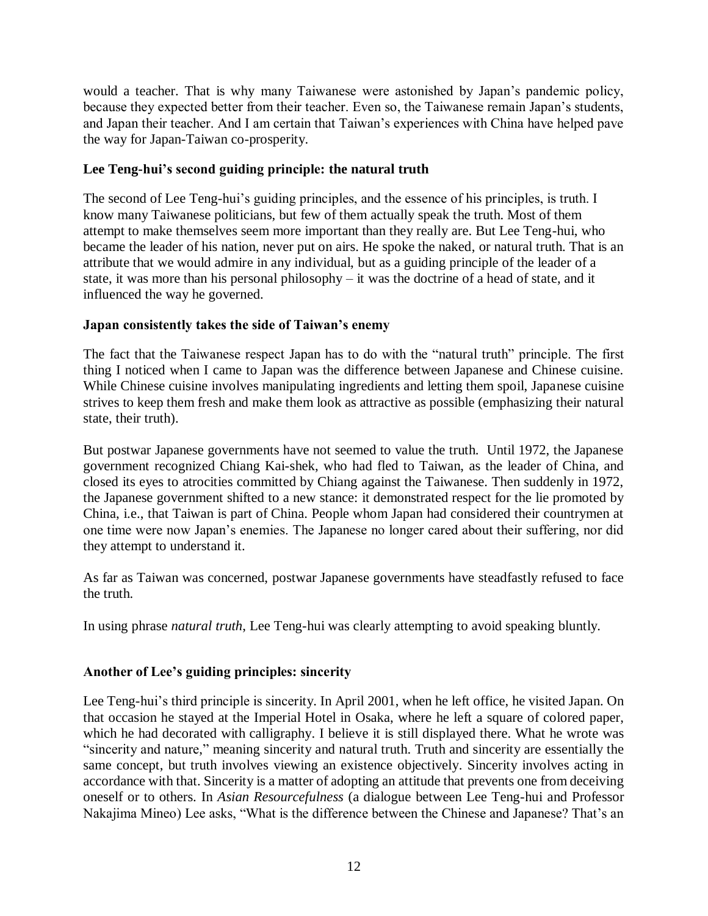would a teacher. That is why many Taiwanese were astonished by Japan's pandemic policy, because they expected better from their teacher. Even so, the Taiwanese remain Japan's students, and Japan their teacher. And I am certain that Taiwan's experiences with China have helped pave the way for Japan-Taiwan co-prosperity.

## **Lee Teng-hui's second guiding principle: the natural truth**

The second of Lee Teng-hui's guiding principles, and the essence of his principles, is truth. I know many Taiwanese politicians, but few of them actually speak the truth. Most of them attempt to make themselves seem more important than they really are. But Lee Teng-hui, who became the leader of his nation, never put on airs. He spoke the naked, or natural truth. That is an attribute that we would admire in any individual, but as a guiding principle of the leader of a state, it was more than his personal philosophy – it was the doctrine of a head of state, and it influenced the way he governed.

## **Japan consistently takes the side of Taiwan's enemy**

The fact that the Taiwanese respect Japan has to do with the "natural truth" principle. The first thing I noticed when I came to Japan was the difference between Japanese and Chinese cuisine. While Chinese cuisine involves manipulating ingredients and letting them spoil, Japanese cuisine strives to keep them fresh and make them look as attractive as possible (emphasizing their natural state, their truth).

But postwar Japanese governments have not seemed to value the truth. Until 1972, the Japanese government recognized Chiang Kai-shek, who had fled to Taiwan, as the leader of China, and closed its eyes to atrocities committed by Chiang against the Taiwanese. Then suddenly in 1972, the Japanese government shifted to a new stance: it demonstrated respect for the lie promoted by China, i.e., that Taiwan is part of China. People whom Japan had considered their countrymen at one time were now Japan's enemies. The Japanese no longer cared about their suffering, nor did they attempt to understand it.

As far as Taiwan was concerned, postwar Japanese governments have steadfastly refused to face the truth.

In using phrase *natural truth*, Lee Teng-hui was clearly attempting to avoid speaking bluntly.

## **Another of Lee's guiding principles: sincerity**

Lee Teng-hui's third principle is sincerity. In April 2001, when he left office, he visited Japan. On that occasion he stayed at the Imperial Hotel in Osaka, where he left a square of colored paper, which he had decorated with calligraphy. I believe it is still displayed there. What he wrote was "sincerity and nature," meaning sincerity and natural truth. Truth and sincerity are essentially the same concept, but truth involves viewing an existence objectively. Sincerity involves acting in accordance with that. Sincerity is a matter of adopting an attitude that prevents one from deceiving oneself or to others. In *Asian Resourcefulness* (a dialogue between Lee Teng-hui and Professor Nakajima Mineo) Lee asks, "What is the difference between the Chinese and Japanese? That's an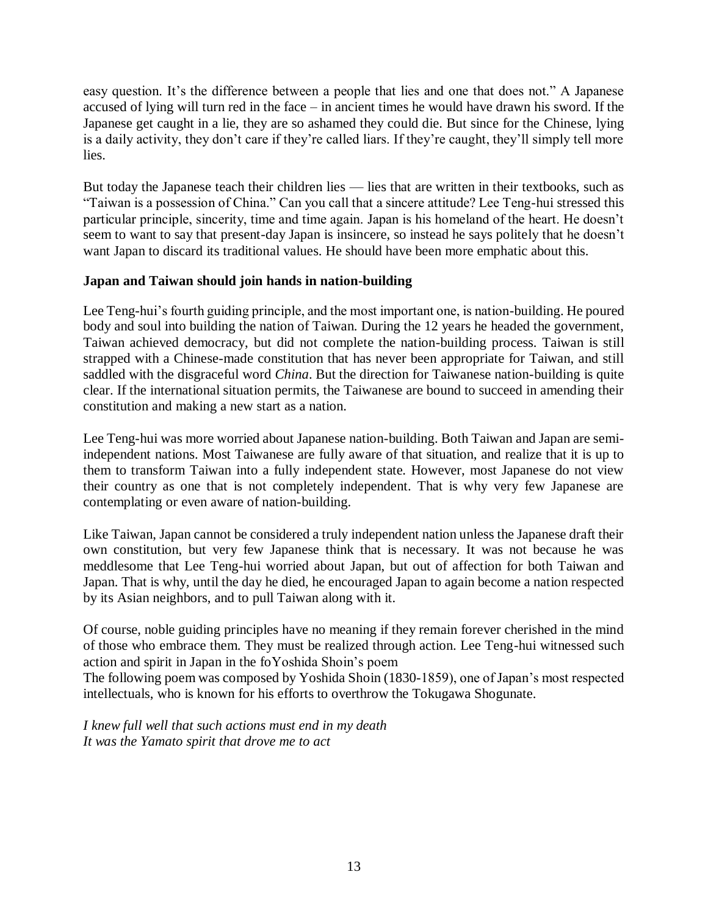easy question. It's the difference between a people that lies and one that does not." A Japanese accused of lying will turn red in the face – in ancient times he would have drawn his sword. If the Japanese get caught in a lie, they are so ashamed they could die. But since for the Chinese, lying is a daily activity, they don't care if they're called liars. If they're caught, they'll simply tell more lies.

But today the Japanese teach their children lies — lies that are written in their textbooks, such as "Taiwan is a possession of China." Can you call that a sincere attitude? Lee Teng-hui stressed this particular principle, sincerity, time and time again. Japan is his homeland of the heart. He doesn't seem to want to say that present-day Japan is insincere, so instead he says politely that he doesn't want Japan to discard its traditional values. He should have been more emphatic about this.

## **Japan and Taiwan should join hands in nation-building**

Lee Teng-hui's fourth guiding principle, and the most important one, is nation-building. He poured body and soul into building the nation of Taiwan. During the 12 years he headed the government, Taiwan achieved democracy, but did not complete the nation-building process. Taiwan is still strapped with a Chinese-made constitution that has never been appropriate for Taiwan, and still saddled with the disgraceful word *China*. But the direction for Taiwanese nation-building is quite clear. If the international situation permits, the Taiwanese are bound to succeed in amending their constitution and making a new start as a nation.

Lee Teng-hui was more worried about Japanese nation-building. Both Taiwan and Japan are semiindependent nations. Most Taiwanese are fully aware of that situation, and realize that it is up to them to transform Taiwan into a fully independent state. However, most Japanese do not view their country as one that is not completely independent. That is why very few Japanese are contemplating or even aware of nation-building.

Like Taiwan, Japan cannot be considered a truly independent nation unless the Japanese draft their own constitution, but very few Japanese think that is necessary. It was not because he was meddlesome that Lee Teng-hui worried about Japan, but out of affection for both Taiwan and Japan. That is why, until the day he died, he encouraged Japan to again become a nation respected by its Asian neighbors, and to pull Taiwan along with it.

Of course, noble guiding principles have no meaning if they remain forever cherished in the mind of those who embrace them. They must be realized through action. Lee Teng-hui witnessed such action and spirit in Japan in the foYoshida Shoin's poem

The following poem was composed by Yoshida Shoin (1830-1859), one of Japan's most respected intellectuals, who is known for his efforts to overthrow the Tokugawa Shogunate.

*I knew full well that such actions must end in my death It was the Yamato spirit that drove me to act*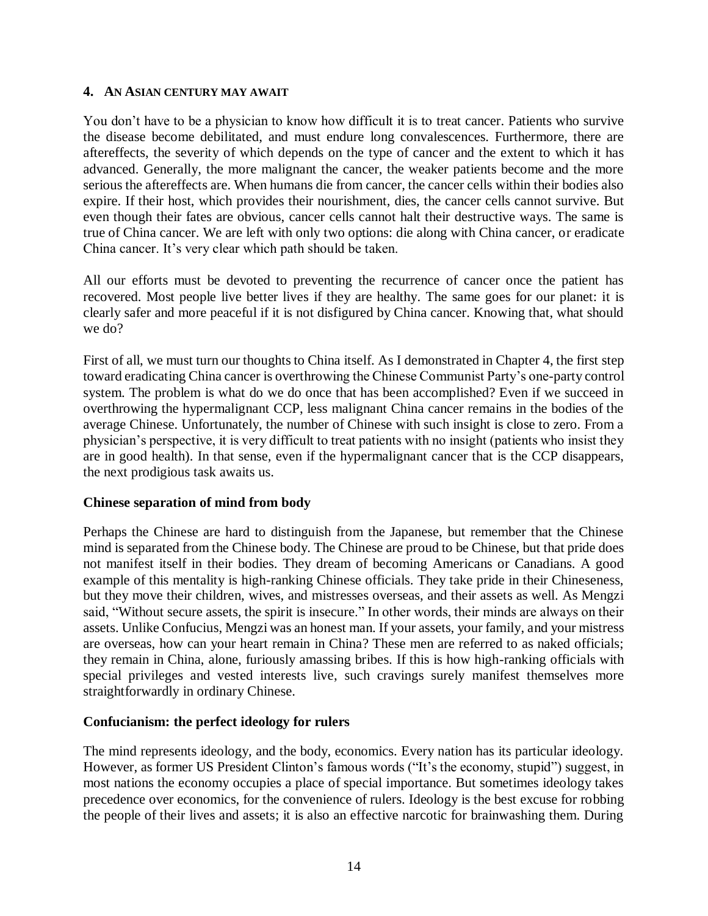#### **4. AN ASIAN CENTURY MAY AWAIT**

You don't have to be a physician to know how difficult it is to treat cancer. Patients who survive the disease become debilitated, and must endure long convalescences. Furthermore, there are aftereffects, the severity of which depends on the type of cancer and the extent to which it has advanced. Generally, the more malignant the cancer, the weaker patients become and the more serious the aftereffects are. When humans die from cancer, the cancer cells within their bodies also expire. If their host, which provides their nourishment, dies, the cancer cells cannot survive. But even though their fates are obvious, cancer cells cannot halt their destructive ways. The same is true of China cancer. We are left with only two options: die along with China cancer, or eradicate China cancer. It's very clear which path should be taken.

All our efforts must be devoted to preventing the recurrence of cancer once the patient has recovered. Most people live better lives if they are healthy. The same goes for our planet: it is clearly safer and more peaceful if it is not disfigured by China cancer. Knowing that, what should we do?

First of all, we must turn our thoughts to China itself. As I demonstrated in Chapter 4, the first step toward eradicating China cancer is overthrowing the Chinese Communist Party's one-party control system. The problem is what do we do once that has been accomplished? Even if we succeed in overthrowing the hypermalignant CCP, less malignant China cancer remains in the bodies of the average Chinese. Unfortunately, the number of Chinese with such insight is close to zero. From a physician's perspective, it is very difficult to treat patients with no insight (patients who insist they are in good health). In that sense, even if the hypermalignant cancer that is the CCP disappears, the next prodigious task awaits us.

## **Chinese separation of mind from body**

Perhaps the Chinese are hard to distinguish from the Japanese, but remember that the Chinese mind is separated from the Chinese body. The Chinese are proud to be Chinese, but that pride does not manifest itself in their bodies. They dream of becoming Americans or Canadians. A good example of this mentality is high-ranking Chinese officials. They take pride in their Chineseness, but they move their children, wives, and mistresses overseas, and their assets as well. As Mengzi said, "Without secure assets, the spirit is insecure." In other words, their minds are always on their assets. Unlike Confucius, Mengzi was an honest man. If your assets, your family, and your mistress are overseas, how can your heart remain in China? These men are referred to as naked officials; they remain in China, alone, furiously amassing bribes. If this is how high-ranking officials with special privileges and vested interests live, such cravings surely manifest themselves more straightforwardly in ordinary Chinese.

## **Confucianism: the perfect ideology for rulers**

The mind represents ideology, and the body, economics. Every nation has its particular ideology. However, as former US President Clinton's famous words ("It's the economy, stupid") suggest, in most nations the economy occupies a place of special importance. But sometimes ideology takes precedence over economics, for the convenience of rulers. Ideology is the best excuse for robbing the people of their lives and assets; it is also an effective narcotic for brainwashing them. During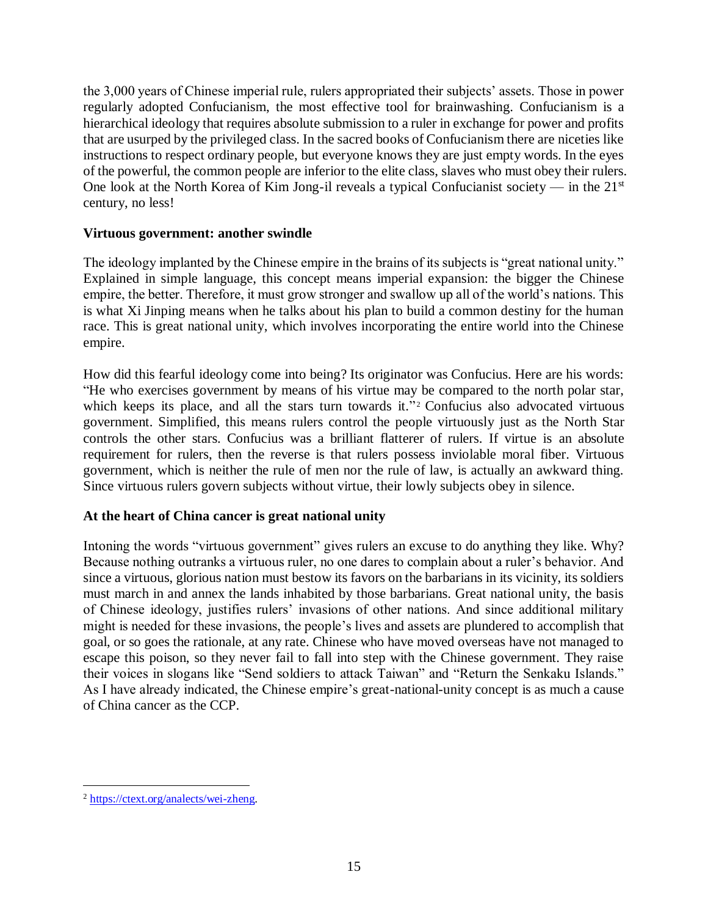the 3,000 years of Chinese imperial rule, rulers appropriated their subjects' assets. Those in power regularly adopted Confucianism, the most effective tool for brainwashing. Confucianism is a hierarchical ideology that requires absolute submission to a ruler in exchange for power and profits that are usurped by the privileged class. In the sacred books of Confucianism there are niceties like instructions to respect ordinary people, but everyone knows they are just empty words. In the eyes of the powerful, the common people are inferior to the elite class, slaves who must obey their rulers. One look at the North Korea of Kim Jong-il reveals a typical Confucianist society — in the  $21<sup>st</sup>$ century, no less!

## **Virtuous government: another swindle**

The ideology implanted by the Chinese empire in the brains of its subjects is "great national unity." Explained in simple language, this concept means imperial expansion: the bigger the Chinese empire, the better. Therefore, it must grow stronger and swallow up all of the world's nations. This is what Xi Jinping means when he talks about his plan to build a common destiny for the human race. This is great national unity, which involves incorporating the entire world into the Chinese empire.

How did this fearful ideology come into being? Its originator was Confucius. Here are his words: "He who exercises government by means of his virtue may be compared to the north polar star, which keeps its place, and all the stars turn towards it."<sup>2</sup> Confucius also advocated virtuous government. Simplified, this means rulers control the people virtuously just as the North Star controls the other stars. Confucius was a brilliant flatterer of rulers. If virtue is an absolute requirement for rulers, then the reverse is that rulers possess inviolable moral fiber. Virtuous government, which is neither the rule of men nor the rule of law, is actually an awkward thing. Since virtuous rulers govern subjects without virtue, their lowly subjects obey in silence.

## **At the heart of China cancer is great national unity**

Intoning the words "virtuous government" gives rulers an excuse to do anything they like. Why? Because nothing outranks a virtuous ruler, no one dares to complain about a ruler's behavior. And since a virtuous, glorious nation must bestow its favors on the barbarians in its vicinity, its soldiers must march in and annex the lands inhabited by those barbarians. Great national unity, the basis of Chinese ideology, justifies rulers' invasions of other nations. And since additional military might is needed for these invasions, the people's lives and assets are plundered to accomplish that goal, or so goes the rationale, at any rate. Chinese who have moved overseas have not managed to escape this poison, so they never fail to fall into step with the Chinese government. They raise their voices in slogans like "Send soldiers to attack Taiwan" and "Return the Senkaku Islands." As I have already indicated, the Chinese empire's great-national-unity concept is as much a cause of China cancer as the CCP.

 $\overline{a}$ <sup>2</sup> [https://ctext.org/analects/wei-zheng.](https://ctext.org/analects/wei-zheng)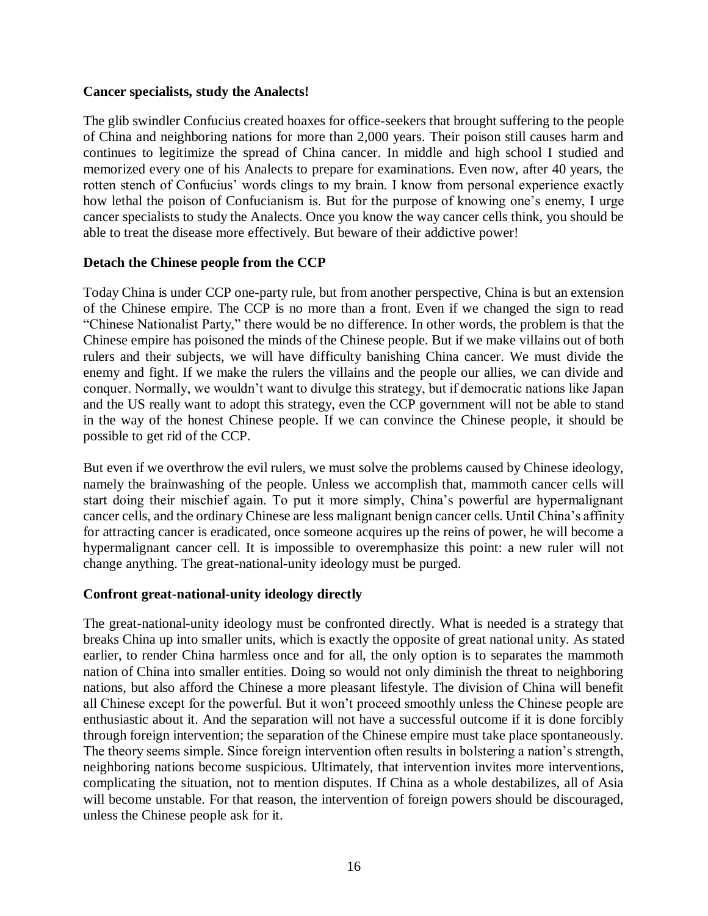## **Cancer specialists, study the Analects!**

The glib swindler Confucius created hoaxes for office-seekers that brought suffering to the people of China and neighboring nations for more than 2,000 years. Their poison still causes harm and continues to legitimize the spread of China cancer. In middle and high school I studied and memorized every one of his Analects to prepare for examinations. Even now, after 40 years, the rotten stench of Confucius' words clings to my brain. I know from personal experience exactly how lethal the poison of Confucianism is. But for the purpose of knowing one's enemy, I urge cancer specialists to study the Analects. Once you know the way cancer cells think, you should be able to treat the disease more effectively. But beware of their addictive power!

## **Detach the Chinese people from the CCP**

Today China is under CCP one-party rule, but from another perspective, China is but an extension of the Chinese empire. The CCP is no more than a front. Even if we changed the sign to read "Chinese Nationalist Party," there would be no difference. In other words, the problem is that the Chinese empire has poisoned the minds of the Chinese people. But if we make villains out of both rulers and their subjects, we will have difficulty banishing China cancer. We must divide the enemy and fight. If we make the rulers the villains and the people our allies, we can divide and conquer. Normally, we wouldn't want to divulge this strategy, but if democratic nations like Japan and the US really want to adopt this strategy, even the CCP government will not be able to stand in the way of the honest Chinese people. If we can convince the Chinese people, it should be possible to get rid of the CCP.

But even if we overthrow the evil rulers, we must solve the problems caused by Chinese ideology, namely the brainwashing of the people. Unless we accomplish that, mammoth cancer cells will start doing their mischief again. To put it more simply, China's powerful are hypermalignant cancer cells, and the ordinary Chinese are less malignant benign cancer cells. Until China's affinity for attracting cancer is eradicated, once someone acquires up the reins of power, he will become a hypermalignant cancer cell. It is impossible to overemphasize this point: a new ruler will not change anything. The great-national-unity ideology must be purged.

## **Confront great-national-unity ideology directly**

The great-national-unity ideology must be confronted directly. What is needed is a strategy that breaks China up into smaller units, which is exactly the opposite of great national unity. As stated earlier, to render China harmless once and for all, the only option is to separates the mammoth nation of China into smaller entities. Doing so would not only diminish the threat to neighboring nations, but also afford the Chinese a more pleasant lifestyle. The division of China will benefit all Chinese except for the powerful. But it won't proceed smoothly unless the Chinese people are enthusiastic about it. And the separation will not have a successful outcome if it is done forcibly through foreign intervention; the separation of the Chinese empire must take place spontaneously. The theory seems simple. Since foreign intervention often results in bolstering a nation's strength, neighboring nations become suspicious. Ultimately, that intervention invites more interventions, complicating the situation, not to mention disputes. If China as a whole destabilizes, all of Asia will become unstable. For that reason, the intervention of foreign powers should be discouraged, unless the Chinese people ask for it.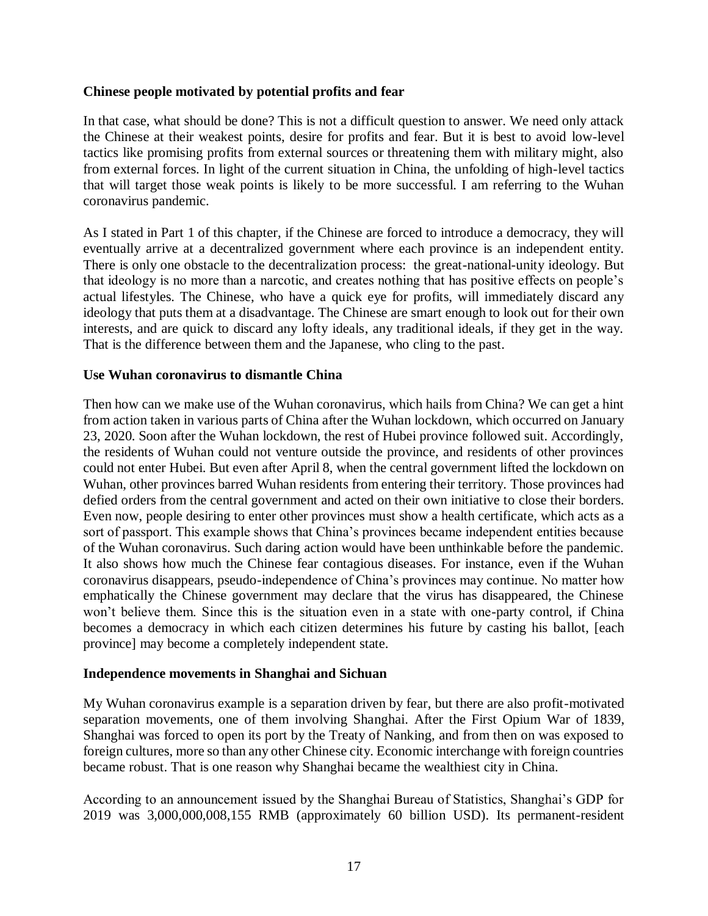## **Chinese people motivated by potential profits and fear**

In that case, what should be done? This is not a difficult question to answer. We need only attack the Chinese at their weakest points, desire for profits and fear. But it is best to avoid low-level tactics like promising profits from external sources or threatening them with military might, also from external forces. In light of the current situation in China, the unfolding of high-level tactics that will target those weak points is likely to be more successful. I am referring to the Wuhan coronavirus pandemic.

As I stated in Part 1 of this chapter, if the Chinese are forced to introduce a democracy, they will eventually arrive at a decentralized government where each province is an independent entity. There is only one obstacle to the decentralization process: the great-national-unity ideology. But that ideology is no more than a narcotic, and creates nothing that has positive effects on people's actual lifestyles. The Chinese, who have a quick eye for profits, will immediately discard any ideology that puts them at a disadvantage. The Chinese are smart enough to look out for their own interests, and are quick to discard any lofty ideals, any traditional ideals, if they get in the way. That is the difference between them and the Japanese, who cling to the past.

## **Use Wuhan coronavirus to dismantle China**

Then how can we make use of the Wuhan coronavirus, which hails from China? We can get a hint from action taken in various parts of China after the Wuhan lockdown, which occurred on January 23, 2020. Soon after the Wuhan lockdown, the rest of Hubei province followed suit. Accordingly, the residents of Wuhan could not venture outside the province, and residents of other provinces could not enter Hubei. But even after April 8, when the central government lifted the lockdown on Wuhan, other provinces barred Wuhan residents from entering their territory. Those provinces had defied orders from the central government and acted on their own initiative to close their borders. Even now, people desiring to enter other provinces must show a health certificate, which acts as a sort of passport. This example shows that China's provinces became independent entities because of the Wuhan coronavirus. Such daring action would have been unthinkable before the pandemic. It also shows how much the Chinese fear contagious diseases. For instance, even if the Wuhan coronavirus disappears, pseudo-independence of China's provinces may continue. No matter how emphatically the Chinese government may declare that the virus has disappeared, the Chinese won't believe them. Since this is the situation even in a state with one-party control, if China becomes a democracy in which each citizen determines his future by casting his ballot, [each province] may become a completely independent state.

## **Independence movements in Shanghai and Sichuan**

My Wuhan coronavirus example is a separation driven by fear, but there are also profit-motivated separation movements, one of them involving Shanghai. After the First Opium War of 1839, Shanghai was forced to open its port by the Treaty of Nanking, and from then on was exposed to foreign cultures, more so than any other Chinese city. Economic interchange with foreign countries became robust. That is one reason why Shanghai became the wealthiest city in China.

According to an announcement issued by the Shanghai Bureau of Statistics, Shanghai's GDP for 2019 was 3,000,000,008,155 RMB (approximately 60 billion USD). Its permanent-resident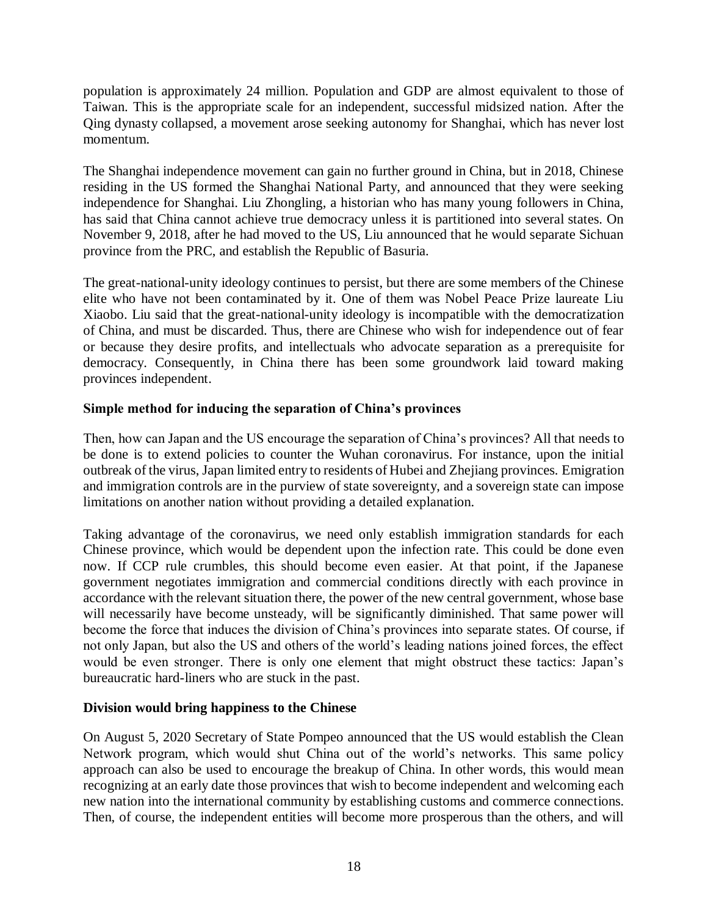population is approximately 24 million. Population and GDP are almost equivalent to those of Taiwan. This is the appropriate scale for an independent, successful midsized nation. After the Qing dynasty collapsed, a movement arose seeking autonomy for Shanghai, which has never lost momentum.

The Shanghai independence movement can gain no further ground in China, but in 2018, Chinese residing in the US formed the Shanghai National Party, and announced that they were seeking independence for Shanghai. Liu Zhongling, a historian who has many young followers in China, has said that China cannot achieve true democracy unless it is partitioned into several states. On November 9, 2018, after he had moved to the US, Liu announced that he would separate Sichuan province from the PRC, and establish the Republic of Basuria.

The great-national-unity ideology continues to persist, but there are some members of the Chinese elite who have not been contaminated by it. One of them was Nobel Peace Prize laureate Liu Xiaobo. Liu said that the great-national-unity ideology is incompatible with the democratization of China, and must be discarded. Thus, there are Chinese who wish for independence out of fear or because they desire profits, and intellectuals who advocate separation as a prerequisite for democracy. Consequently, in China there has been some groundwork laid toward making provinces independent.

## **Simple method for inducing the separation of China's provinces**

Then, how can Japan and the US encourage the separation of China's provinces? All that needs to be done is to extend policies to counter the Wuhan coronavirus. For instance, upon the initial outbreak of the virus, Japan limited entry to residents of Hubei and Zhejiang provinces. Emigration and immigration controls are in the purview of state sovereignty, and a sovereign state can impose limitations on another nation without providing a detailed explanation.

Taking advantage of the coronavirus, we need only establish immigration standards for each Chinese province, which would be dependent upon the infection rate. This could be done even now. If CCP rule crumbles, this should become even easier. At that point, if the Japanese government negotiates immigration and commercial conditions directly with each province in accordance with the relevant situation there, the power of the new central government, whose base will necessarily have become unsteady, will be significantly diminished. That same power will become the force that induces the division of China's provinces into separate states. Of course, if not only Japan, but also the US and others of the world's leading nations joined forces, the effect would be even stronger. There is only one element that might obstruct these tactics: Japan's bureaucratic hard-liners who are stuck in the past.

## **Division would bring happiness to the Chinese**

On August 5, 2020 Secretary of State Pompeo announced that the US would establish the Clean Network program, which would shut China out of the world's networks. This same policy approach can also be used to encourage the breakup of China. In other words, this would mean recognizing at an early date those provinces that wish to become independent and welcoming each new nation into the international community by establishing customs and commerce connections. Then, of course, the independent entities will become more prosperous than the others, and will